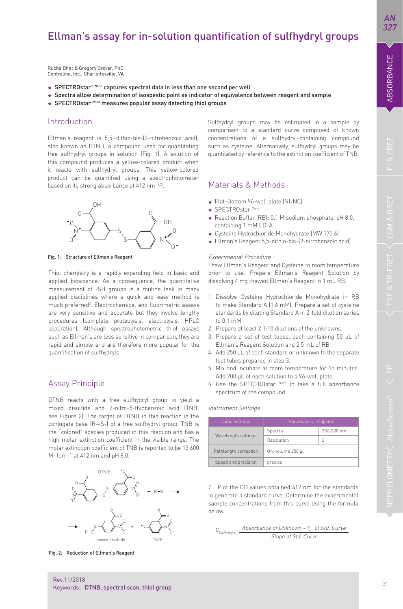# Ellman's assay for in-solution quantification of sulfhydryl groups

Spectra allow determination of isosbestic point as indicator of equivalence between reagent and sample

O O

N

**SPECTROstar<sup>® Nano</sup> captures spectral data in less than one second per well** 

SPECTROstar *Nano* measures popular assay detecting thiol groups

Ellman's reagent is 5,5'-dithio-bis-(2-nitrobenzoic acid), also known as DTNB, a compound used for quantitating free sulfhydryl groups in solution (Fig. 1). A solution of this compound produces a yellow-colored product when it reacts with sulfhydryl groups. This yellow-colored product can be quantified using a spectrophotometer

Rucha Bhat & Gregory Grover, PhD Contraline, Inc., Charlottesville, VA

 $\cap$ 

O S

Fig. 1: Structure of Ellman's Reagent

N

quantification of sulfhydryls.

Assay Principle

 $\circ \rightarrow$  0

 $\circ$   $\rightarrow$   $\circ$   $\rightarrow$   $\circ$   $\circ$ 

S

Thiol chemistry is a rapidly expanding field in basic and applied bioscience. As a consequence, the quantitative measurement of -SH groups is a routine task in many applied disciplines where a quick and easy method is much preferred<sup>3</sup>. Electrochemical and fluorimetric assays are very sensitive and accurate but they involve lengthy procedures (complete proteolysis, electrolysis, HPLC separation). Although spectrophotometric thiol assays such as Ellman's are less sensitive in comparison, they are rapid and simple and are therefore more popular for the

DTNB reacts with a free sulfhydryl group to yield a mixed disulfide and 2-nitro-5-thiobenzoic acid (TNB; see Figure 2). The target of DTNB in this reaction is the conjugate base (R—S-) of a free sulfhydryl group. TNB is the "colored" species produced in this reaction and has a high molar extinction coefficient in the visible range. The molar extinction coefficient of TNB is reported to be 13,600

Introduction

*AN 327*

O s—{ *}*—n , + R-S N N S S S R—s v—v b

N

Fig. 2: Reduction of Ellman's Reagent

M-1cm-1 at 412 nm and pH 8.0.

Sulfhydryl groups may be estimated in a sample by comparison to a standard curve composed of known concentrations of a sulfhydryl-containing compound such as cysteine. Alternatively, sulfhydryl groups may be quantitated by reference to the extinction coefficient of TNB.

# based on its strong absorbance at 412 nm <sup>[1,2]</sup>. Materials & Methods

- Flat-Bottom 96-well plate (NUNC)
- SPECTROstar *Nano*
- Reaction Buffer (RB): 0.1 M sodium phosphate, pH 8.0, containing 1 mM EDTA
- Cysteine Hydrochloride Monohydrate (MW 175.6)
- Ellman's Reagent 5,5-dithio-bis-(2-nitrobenzoic acid)

#### Experimental Procedure

Thaw Ellman's Reagent and Cysteine to room temperature prior to use. Prepare Ellman's Reagent Solution by dissolving 4 mg thawed Ellman's Reagent in 1 mL RB.

- 1. Dissolve Cysteine Hydrochloride Monohydrate in RB to make Standard A (1.6 mM). Prepare a set of cysteine standards by diluting Standard A in 2-fold dilution series to 0.1 mM.
- 2. Prepare at least 2 1:10 dilutions of the unknowns.
- 3. Prepare a set of test tubes, each containing 50 μL of Ellman's Reagent Solution and 2.5 mL of RB
- 4. Add 250 μL of each standard or unknown to the separate test tubes prepared in step 3.
- 5. Mix and incubate at room temperature for 15 minutes. Add 200 µL of each solution to a 96-well plate.
- 6. Use the SPECTROstar *Nano* to take a full absorbance spectrum of the compound.

### Instrument Settings

| <b>Optic Settings</b> | Absorbance, endpoint |            |
|-----------------------|----------------------|------------|
| Wavelength settings   | Spectra              | 250-500 nm |
|                       | Resolution           |            |
| Pathlength correction | On, volume 250 µl    |            |
| Speed and precision   | precise              |            |

7. Plot the OD values obtained 412 nm for the standards to generate a standard curve. Determine the experimental sample concentrations from this curve using the formula below.

$$
C_{\text{Sultiplydryds}} = \frac{\text{Absorbance of Unknown - } Y_{int} \text{ of Std. Curve}}{\text{Slope of Std. Curve}}
$$

Rev.11/2018 Keywords: DTNB, spectral scan, thiol group

mixed disulfid

DTNB<sup>2</sup>- <sup>-</sup> O